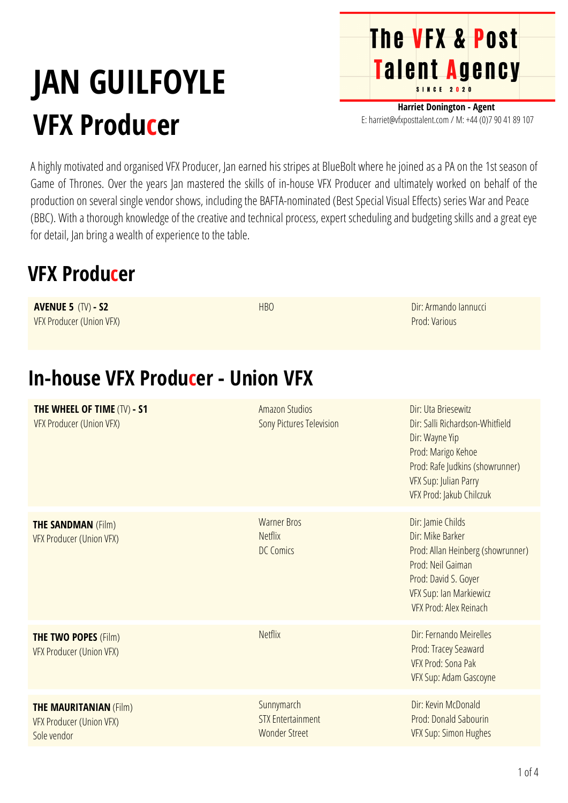# **JAN GUILFOYLE VFX Producer**

**Harriet Donington - Agent** E: harriet@vfxposttalent.com / M:+44(0)7904189107

**The VFX & Post** 

Talent Agency

A highly motivated and organised VFX Producer, Jan earned his stripes at BlueBolt where he joined as a PA on the 1st season of Game of Thrones. Over the years Jan mastered the skills of in-house VFX Producer and ultimately worked on behalf of the production on several single vendor shows, including the BAFTA-nominated (Best Special Visual Effects) series War and Peace (BBC). With a thorough knowledge of the creative and technical process, expert scheduling and budgeting skills and a great eye for detail, Jan bring a wealth of experience to the table.

#### **VFX Producer**

| <b>AVENUE 5 (TV) - S2</b><br><b>VFX Producer (Union VFX)</b>                    | <b>HBO</b>                                                     | Dir: Armando Iannucci<br>Prod: Various                                                                                                                                                 |
|---------------------------------------------------------------------------------|----------------------------------------------------------------|----------------------------------------------------------------------------------------------------------------------------------------------------------------------------------------|
| <b>In-house VFX Producer - Union VFX</b>                                        |                                                                |                                                                                                                                                                                        |
| THE WHEEL OF TIME (TV) - S1<br><b>VFX Producer (Union VFX)</b>                  | <b>Amazon Studios</b><br>Sony Pictures Television              | Dir: Uta Briesewitz<br>Dir: Salli Richardson-Whitfield<br>Dir: Wayne Yip<br>Prod: Marigo Kehoe<br>Prod: Rafe Judkins (showrunner)<br>VFX Sup: Julian Parry<br>VFX Prod: Jakub Chilczuk |
| <b>THE SANDMAN (Film)</b><br><b>VFX Producer (Union VFX)</b>                    | <b>Warner Bros</b><br><b>Netflix</b><br><b>DC Comics</b>       | Dir: Jamie Childs<br>Dir: Mike Barker<br>Prod: Allan Heinberg (showrunner)<br>Prod: Neil Gaiman<br>Prod: David S. Goyer<br>VFX Sup: Ian Markiewicz<br>VFX Prod: Alex Reinach           |
| <b>THE TWO POPES (Film)</b><br><b>VFX Producer (Union VFX)</b>                  | <b>Netflix</b>                                                 | Dir: Fernando Meirelles<br>Prod: Tracey Seaward<br>VFX Prod: Sona Pak<br>VFX Sup: Adam Gascoyne                                                                                        |
| <b>THE MAURITANIAN (Film)</b><br><b>VFX Producer (Union VFX)</b><br>Sole vendor | Sunnymarch<br><b>STX Entertainment</b><br><b>Wonder Street</b> | Dir: Kevin McDonald<br>Prod: Donald Sabourin<br>VFX Sup: Simon Hughes                                                                                                                  |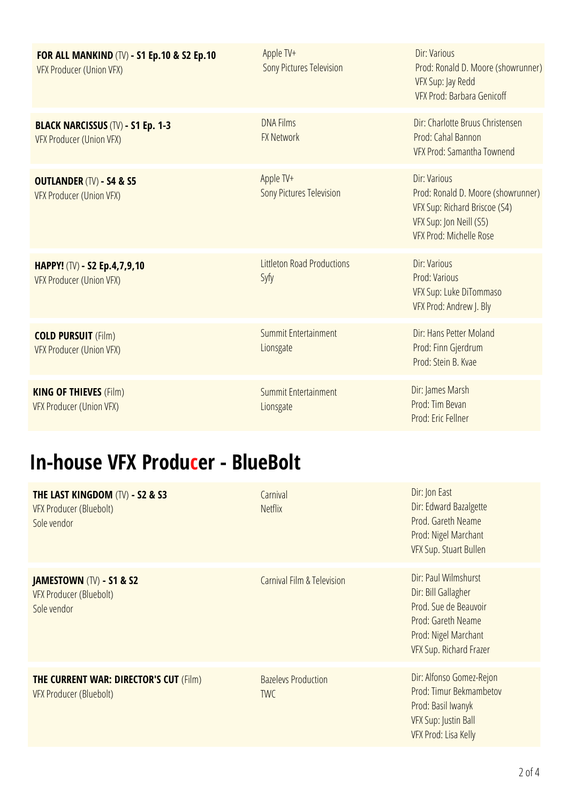| <b>FOR ALL MANKIND (TV) - S1 Ep.10 &amp; S2 Ep.10</b><br><b>VFX Producer (Union VFX)</b> | Apple TV+<br><b>Sony Pictures Television</b> | Dir: Various<br>Prod: Ronald D. Moore (showrunner)<br>VFX Sup: Jay Redd<br><b>VFX Prod: Barbara Genicoff</b>                              |
|------------------------------------------------------------------------------------------|----------------------------------------------|-------------------------------------------------------------------------------------------------------------------------------------------|
| <b>BLACK NARCISSUS (TV) - S1 Ep. 1-3</b><br>VFX Producer (Union VFX)                     | <b>DNA Films</b><br><b>FX Network</b>        | Dir: Charlotte Bruus Christensen<br>Prod: Cahal Bannon<br>VFX Prod: Samantha Townend                                                      |
| <b>OUTLANDER (TV) - S4 &amp; S5</b><br><b>VFX Producer (Union VFX)</b>                   | Apple TV+<br><b>Sony Pictures Television</b> | Dir: Various<br>Prod: Ronald D. Moore (showrunner)<br>VFX Sup: Richard Briscoe (S4)<br>VFX Sup: Jon Neill (S5)<br>VFX Prod: Michelle Rose |
| <b>HAPPY!</b> (TV) - S2 Ep.4,7,9,10<br>VFX Producer (Union VFX)                          | <b>Littleton Road Productions</b><br>Syfy    | Dir: Various<br>Prod: Various<br>VFX Sup: Luke DiTommaso<br>VFX Prod: Andrew J. Bly                                                       |
| <b>COLD PURSUIT (Film)</b><br><b>VFX Producer (Union VFX)</b>                            | Summit Entertainment<br>Lionsgate            | Dir: Hans Petter Moland<br>Prod: Finn Gjerdrum<br>Prod: Stein B. Kvae                                                                     |
| <b>KING OF THIEVES (Film)</b><br>VFX Producer (Union VFX)                                | Summit Entertainment<br>Lionsgate            | Dir: James Marsh<br>Prod: Tim Bevan<br>Prod: Eric Fellner                                                                                 |

## **In-house VFX Producer - BlueBolt**

| THE LAST KINGDOM (TV) - S2 & S3<br><b>VFX Producer (Bluebolt)</b><br>Sole vendor     | Carnival<br><b>Netflix</b>               | Dir: Jon East<br>Dir: Edward Bazalgette<br>Prod. Gareth Neame<br>Prod: Nigel Marchant<br>VFX Sup. Stuart Bullen                               |
|--------------------------------------------------------------------------------------|------------------------------------------|-----------------------------------------------------------------------------------------------------------------------------------------------|
| <b>JAMESTOWN (TV) - S1 &amp; S2</b><br><b>VFX Producer (Bluebolt)</b><br>Sole vendor | Carnival Film & Television               | Dir: Paul Wilmshurst<br>Dir: Bill Gallagher<br>Prod. Sue de Beauvoir<br>Prod: Gareth Neame<br>Prod: Nigel Marchant<br>VFX Sup. Richard Frazer |
| <b>THE CURRENT WAR: DIRECTOR'S CUT (Film)</b><br>VFX Producer (Bluebolt)             | <b>Bazelevs Production</b><br><b>TWC</b> | Dir: Alfonso Gomez-Rejon<br>Prod: Timur Bekmambetov<br>Prod: Basil Iwanyk<br>VFX Sup: Justin Ball<br>VFX Prod: Lisa Kelly                     |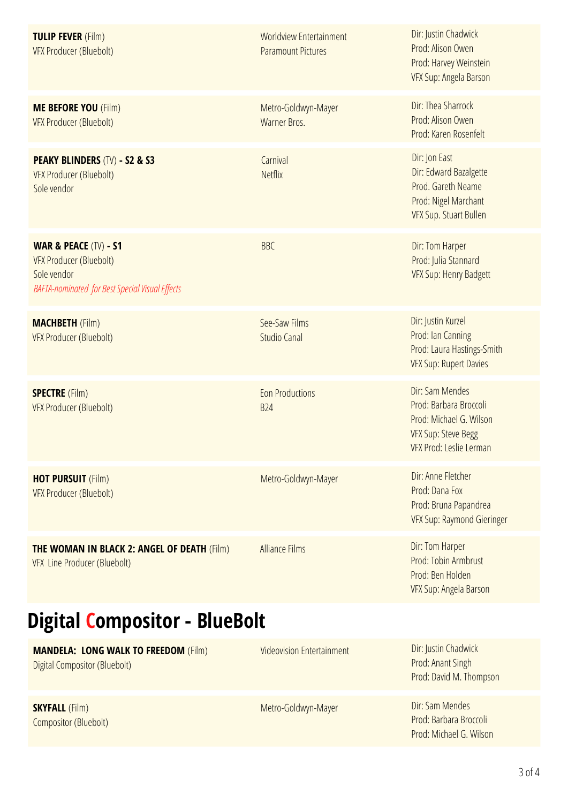| <b>TULIP FEVER (Film)</b><br><b>VFX Producer (Bluebolt)</b>                                                                                 | <b>Worldview Entertainment</b><br><b>Paramount Pictures</b> | Dir: Justin Chadwick<br>Prod: Alison Owen<br>Prod: Harvey Weinstein<br>VFX Sup: Angela Barson                                 |
|---------------------------------------------------------------------------------------------------------------------------------------------|-------------------------------------------------------------|-------------------------------------------------------------------------------------------------------------------------------|
| <b>ME BEFORE YOU (Film)</b><br><b>VFX Producer (Bluebolt)</b>                                                                               | Metro-Goldwyn-Mayer<br>Warner Bros.                         | Dir: Thea Sharrock<br>Prod: Alison Owen<br>Prod: Karen Rosenfelt                                                              |
| <b>PEAKY BLINDERS (TV) - S2 &amp; S3</b><br><b>VFX Producer (Bluebolt)</b><br>Sole vendor                                                   | Carnival<br><b>Netflix</b>                                  | Dir: Jon East<br>Dir: Edward Bazalgette<br>Prod. Gareth Neame<br>Prod: Nigel Marchant<br><b>VFX Sup. Stuart Bullen</b>        |
| <b>WAR &amp; PEACE (TV) - S1</b><br><b>VFX Producer (Bluebolt)</b><br>Sole vendor<br><b>BAFTA-nominated for Best Special Visual Effects</b> | <b>BBC</b>                                                  | Dir: Tom Harper<br>Prod: Julia Stannard<br><b>VFX Sup: Henry Badgett</b>                                                      |
| <b>MACHBETH (Film)</b><br><b>VFX Producer (Bluebolt)</b>                                                                                    | See-Saw Films<br><b>Studio Canal</b>                        | Dir: Justin Kurzel<br>Prod: Ian Canning<br>Prod: Laura Hastings-Smith<br><b>VFX Sup: Rupert Davies</b>                        |
| <b>SPECTRE</b> (Film)<br><b>VFX Producer (Bluebolt)</b>                                                                                     | <b>Eon Productions</b><br><b>B24</b>                        | Dir: Sam Mendes<br>Prod: Barbara Broccoli<br>Prod: Michael G. Wilson<br><b>VFX Sup: Steve Begg</b><br>VFX Prod: Leslie Lerman |
| <b>HOT PURSUIT (Film)</b><br><b>VFX Producer (Bluebolt)</b>                                                                                 | Metro-Goldwyn-Mayer                                         | Dir: Anne Fletcher<br>Prod: Dana Fox<br>Prod: Bruna Papandrea<br>VFX Sup: Raymond Gieringer                                   |
| <b>THE WOMAN IN BLACK 2: ANGEL OF DEATH (Film)</b><br><b>VFX Line Producer (Bluebolt)</b>                                                   | <b>Alliance Films</b>                                       | Dir: Tom Harper<br>Prod: Tobin Armbrust<br>Prod: Ben Holden<br>VFX Sup: Angela Barson                                         |

# **Digital Compositor - BlueBolt**

| <b>MANDELA: LONG WALK TO FREEDOM (Film)</b><br>Digital Compositor (Bluebolt) | <b>Videovision Entertainment</b> | Dir: Justin Chadwick<br>Prod: Anant Singh<br>Prod: David M. Thompson |
|------------------------------------------------------------------------------|----------------------------------|----------------------------------------------------------------------|
| <b>SKYFALL (Film)</b><br>Compositor (Bluebolt)                               | Metro-Goldwyn-Mayer              | Dir: Sam Mendes<br>Prod: Barbara Broccoli<br>Prod: Michael G. Wilson |